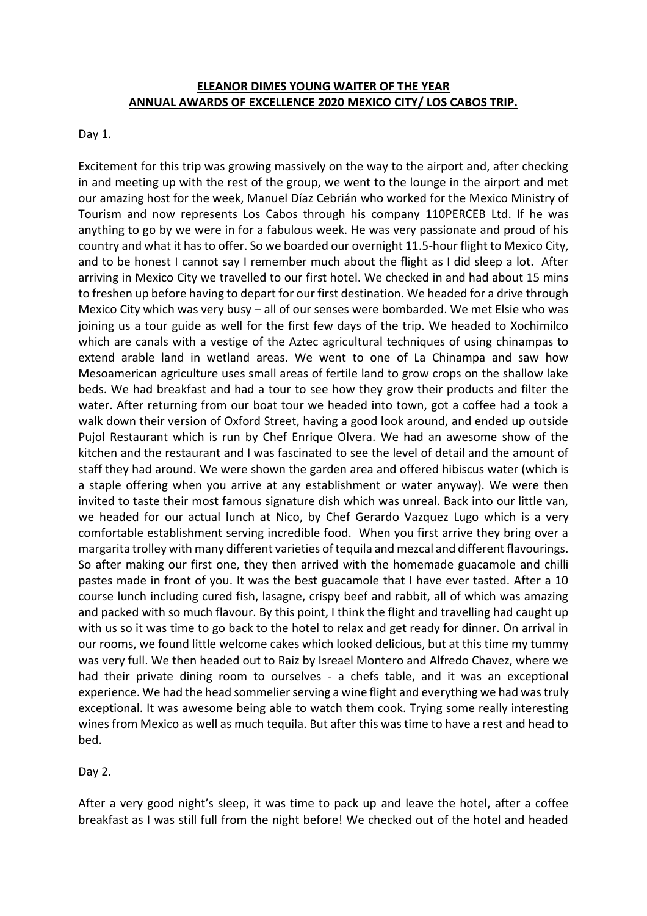## **ELEANOR DIMES YOUNG WAITER OF THE YEAR ANNUAL AWARDS OF EXCELLENCE 2020 MEXICO CITY/ LOS CABOS TRIP.**

## Day 1.

Excitement for this trip was growing massively on the way to the airport and, after checking in and meeting up with the rest of the group, we went to the lounge in the airport and met our amazing host for the week, Manuel Díaz Cebrián who worked for the Mexico Ministry of Tourism and now represents Los Cabos through his company 110PERCEB Ltd. If he was anything to go by we were in for a fabulous week. He was very passionate and proud of his country and what it has to offer. So we boarded our overnight 11.5-hour flight to Mexico City, and to be honest I cannot say I remember much about the flight as I did sleep a lot. After arriving in Mexico City we travelled to our first hotel. We checked in and had about 15 mins to freshen up before having to depart for our first destination. We headed for a drive through Mexico City which was very busy – all of our senses were bombarded. We met Elsie who was joining us a tour guide as well for the first few days of the trip. We headed to Xochimilco which are canals with a vestige of the Aztec agricultural techniques of using chinampas to extend arable land in wetland areas. We went to one of La Chinampa and saw how Mesoamerican agriculture uses small areas of fertile land to grow crops on the shallow lake beds. We had breakfast and had a tour to see how they grow their products and filter the water. After returning from our boat tour we headed into town, got a coffee had a took a walk down their version of Oxford Street, having a good look around, and ended up outside Pujol Restaurant which is run by Chef Enrique Olvera. We had an awesome show of the kitchen and the restaurant and I was fascinated to see the level of detail and the amount of staff they had around. We were shown the garden area and offered hibiscus water (which is a staple offering when you arrive at any establishment or water anyway). We were then invited to taste their most famous signature dish which was unreal. Back into our little van, we headed for our actual lunch at Nico, by Chef Gerardo Vazquez Lugo which is a very comfortable establishment serving incredible food. When you first arrive they bring over a margarita trolley with many different varieties of tequila and mezcal and different flavourings. So after making our first one, they then arrived with the homemade guacamole and chilli pastes made in front of you. It was the best guacamole that I have ever tasted. After a 10 course lunch including cured fish, lasagne, crispy beef and rabbit, all of which was amazing and packed with so much flavour. By this point, I think the flight and travelling had caught up with us so it was time to go back to the hotel to relax and get ready for dinner. On arrival in our rooms, we found little welcome cakes which looked delicious, but at this time my tummy was very full. We then headed out to Raiz by Isreael Montero and Alfredo Chavez, where we had their private dining room to ourselves - a chefs table, and it was an exceptional experience. We had the head sommelier serving a wine flight and everything we had was truly exceptional. It was awesome being able to watch them cook. Trying some really interesting wines from Mexico as well as much tequila. But after this was time to have a rest and head to bed.

## Day 2.

After a very good night's sleep, it was time to pack up and leave the hotel, after a coffee breakfast as I was still full from the night before! We checked out of the hotel and headed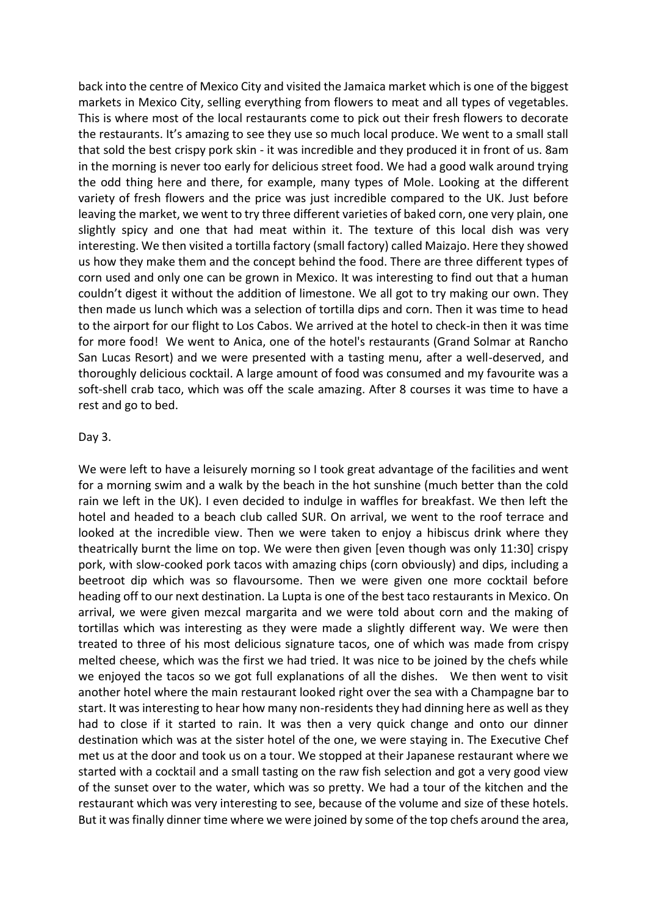back into the centre of Mexico City and visited the Jamaica market which is one of the biggest markets in Mexico City, selling everything from flowers to meat and all types of vegetables. This is where most of the local restaurants come to pick out their fresh flowers to decorate the restaurants. It's amazing to see they use so much local produce. We went to a small stall that sold the best crispy pork skin - it was incredible and they produced it in front of us. 8am in the morning is never too early for delicious street food. We had a good walk around trying the odd thing here and there, for example, many types of Mole. Looking at the different variety of fresh flowers and the price was just incredible compared to the UK. Just before leaving the market, we went to try three different varieties of baked corn, one very plain, one slightly spicy and one that had meat within it. The texture of this local dish was very interesting. We then visited a tortilla factory (small factory) called Maizajo. Here they showed us how they make them and the concept behind the food. There are three different types of corn used and only one can be grown in Mexico. It was interesting to find out that a human couldn't digest it without the addition of limestone. We all got to try making our own. They then made us lunch which was a selection of tortilla dips and corn. Then it was time to head to the airport for our flight to Los Cabos. We arrived at the hotel to check-in then it was time for more food! We went to Anica, one of the hotel's restaurants (Grand Solmar at Rancho San Lucas Resort) and we were presented with a tasting menu, after a well-deserved, and thoroughly delicious cocktail. A large amount of food was consumed and my favourite was a soft-shell crab taco, which was off the scale amazing. After 8 courses it was time to have a rest and go to bed.

#### Day 3.

We were left to have a leisurely morning so I took great advantage of the facilities and went for a morning swim and a walk by the beach in the hot sunshine (much better than the cold rain we left in the UK). I even decided to indulge in waffles for breakfast. We then left the hotel and headed to a beach club called SUR. On arrival, we went to the roof terrace and looked at the incredible view. Then we were taken to enjoy a hibiscus drink where they theatrically burnt the lime on top. We were then given [even though was only 11:30] crispy pork, with slow-cooked pork tacos with amazing chips (corn obviously) and dips, including a beetroot dip which was so flavoursome. Then we were given one more cocktail before heading off to our next destination. La Lupta is one of the best taco restaurants in Mexico. On arrival, we were given mezcal margarita and we were told about corn and the making of tortillas which was interesting as they were made a slightly different way. We were then treated to three of his most delicious signature tacos, one of which was made from crispy melted cheese, which was the first we had tried. It was nice to be joined by the chefs while we enjoyed the tacos so we got full explanations of all the dishes. We then went to visit another hotel where the main restaurant looked right over the sea with a Champagne bar to start. It was interesting to hear how many non-residents they had dinning here as well as they had to close if it started to rain. It was then a very quick change and onto our dinner destination which was at the sister hotel of the one, we were staying in. The Executive Chef met us at the door and took us on a tour. We stopped at their Japanese restaurant where we started with a cocktail and a small tasting on the raw fish selection and got a very good view of the sunset over to the water, which was so pretty. We had a tour of the kitchen and the restaurant which was very interesting to see, because of the volume and size of these hotels. But it was finally dinner time where we were joined by some of the top chefs around the area,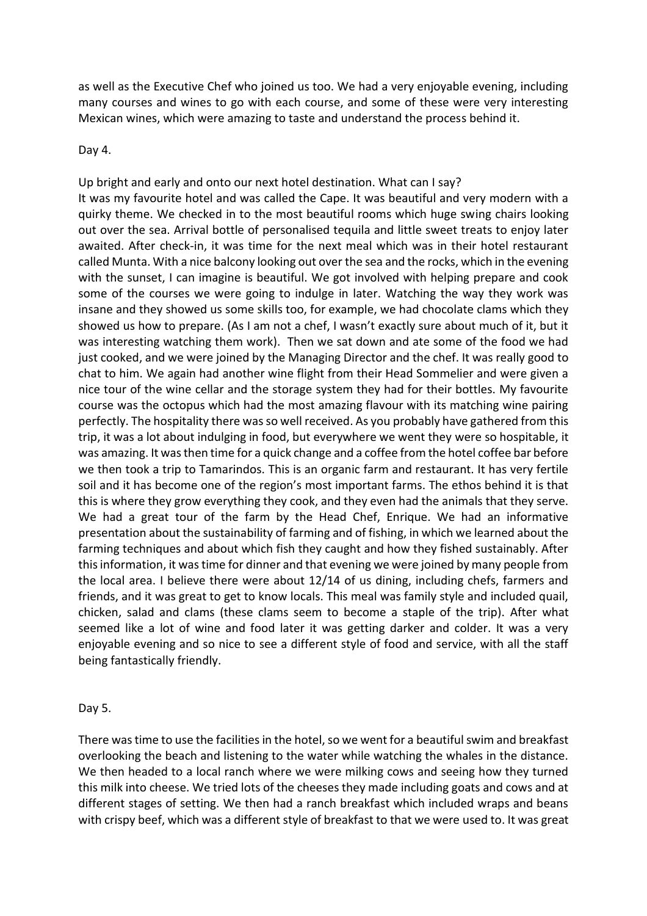as well as the Executive Chef who joined us too. We had a very enjoyable evening, including many courses and wines to go with each course, and some of these were very interesting Mexican wines, which were amazing to taste and understand the process behind it.

## Day 4.

Up bright and early and onto our next hotel destination. What can I say? It was my favourite hotel and was called the Cape. It was beautiful and very modern with a quirky theme. We checked in to the most beautiful rooms which huge swing chairs looking out over the sea. Arrival bottle of personalised tequila and little sweet treats to enjoy later awaited. After check-in, it was time for the next meal which was in their hotel restaurant called Munta. With a nice balcony looking out over the sea and the rocks, which in the evening with the sunset, I can imagine is beautiful. We got involved with helping prepare and cook some of the courses we were going to indulge in later. Watching the way they work was insane and they showed us some skills too, for example, we had chocolate clams which they showed us how to prepare. (As I am not a chef, I wasn't exactly sure about much of it, but it was interesting watching them work). Then we sat down and ate some of the food we had just cooked, and we were joined by the Managing Director and the chef. It was really good to chat to him. We again had another wine flight from their Head Sommelier and were given a nice tour of the wine cellar and the storage system they had for their bottles. My favourite course was the octopus which had the most amazing flavour with its matching wine pairing perfectly. The hospitality there was so well received. As you probably have gathered from this trip, it was a lot about indulging in food, but everywhere we went they were so hospitable, it was amazing. It was then time for a quick change and a coffee from the hotel coffee bar before we then took a trip to Tamarindos. This is an organic farm and restaurant. It has very fertile soil and it has become one of the region's most important farms. The ethos behind it is that this is where they grow everything they cook, and they even had the animals that they serve. We had a great tour of the farm by the Head Chef, Enrique. We had an informative presentation about the sustainability of farming and of fishing, in which we learned about the farming techniques and about which fish they caught and how they fished sustainably. After this information, it was time for dinner and that evening we were joined by many people from the local area. I believe there were about 12/14 of us dining, including chefs, farmers and friends, and it was great to get to know locals. This meal was family style and included quail, chicken, salad and clams (these clams seem to become a staple of the trip). After what seemed like a lot of wine and food later it was getting darker and colder. It was a very enjoyable evening and so nice to see a different style of food and service, with all the staff being fantastically friendly.

# Day 5.

There was time to use the facilities in the hotel, so we went for a beautiful swim and breakfast overlooking the beach and listening to the water while watching the whales in the distance. We then headed to a local ranch where we were milking cows and seeing how they turned this milk into cheese. We tried lots of the cheeses they made including goats and cows and at different stages of setting. We then had a ranch breakfast which included wraps and beans with crispy beef, which was a different style of breakfast to that we were used to. It was great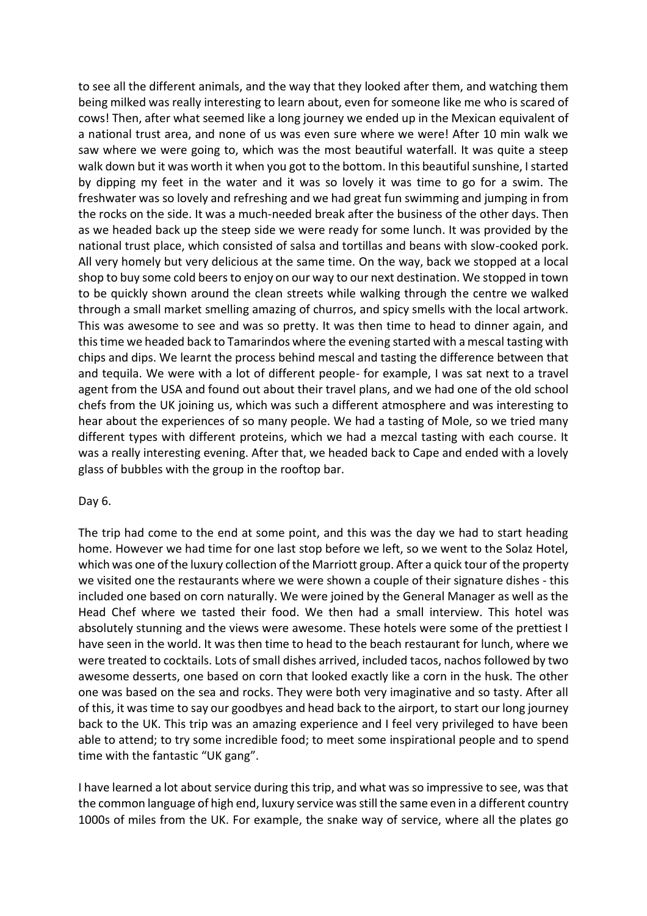to see all the different animals, and the way that they looked after them, and watching them being milked was really interesting to learn about, even for someone like me who is scared of cows! Then, after what seemed like a long journey we ended up in the Mexican equivalent of a national trust area, and none of us was even sure where we were! After 10 min walk we saw where we were going to, which was the most beautiful waterfall. It was quite a steep walk down but it was worth it when you got to the bottom. In this beautiful sunshine, I started by dipping my feet in the water and it was so lovely it was time to go for a swim. The freshwater was so lovely and refreshing and we had great fun swimming and jumping in from the rocks on the side. It was a much-needed break after the business of the other days. Then as we headed back up the steep side we were ready for some lunch. It was provided by the national trust place, which consisted of salsa and tortillas and beans with slow-cooked pork. All very homely but very delicious at the same time. On the way, back we stopped at a local shop to buy some cold beers to enjoy on our way to our next destination. We stopped in town to be quickly shown around the clean streets while walking through the centre we walked through a small market smelling amazing of churros, and spicy smells with the local artwork. This was awesome to see and was so pretty. It was then time to head to dinner again, and this time we headed back to Tamarindos where the evening started with a mescal tasting with chips and dips. We learnt the process behind mescal and tasting the difference between that and tequila. We were with a lot of different people- for example, I was sat next to a travel agent from the USA and found out about their travel plans, and we had one of the old school chefs from the UK joining us, which was such a different atmosphere and was interesting to hear about the experiences of so many people. We had a tasting of Mole, so we tried many different types with different proteins, which we had a mezcal tasting with each course. It was a really interesting evening. After that, we headed back to Cape and ended with a lovely glass of bubbles with the group in the rooftop bar.

## Day 6.

The trip had come to the end at some point, and this was the day we had to start heading home. However we had time for one last stop before we left, so we went to the Solaz Hotel, which was one of the luxury collection of the Marriott group. After a quick tour of the property we visited one the restaurants where we were shown a couple of their signature dishes - this included one based on corn naturally. We were joined by the General Manager as well as the Head Chef where we tasted their food. We then had a small interview. This hotel was absolutely stunning and the views were awesome. These hotels were some of the prettiest I have seen in the world. It was then time to head to the beach restaurant for lunch, where we were treated to cocktails. Lots of small dishes arrived, included tacos, nachos followed by two awesome desserts, one based on corn that looked exactly like a corn in the husk. The other one was based on the sea and rocks. They were both very imaginative and so tasty. After all of this, it was time to say our goodbyes and head back to the airport, to start our long journey back to the UK. This trip was an amazing experience and I feel very privileged to have been able to attend; to try some incredible food; to meet some inspirational people and to spend time with the fantastic "UK gang".

I have learned a lot about service during this trip, and what was so impressive to see, was that the common language of high end, luxury service was still the same even in a different country 1000s of miles from the UK. For example, the snake way of service, where all the plates go